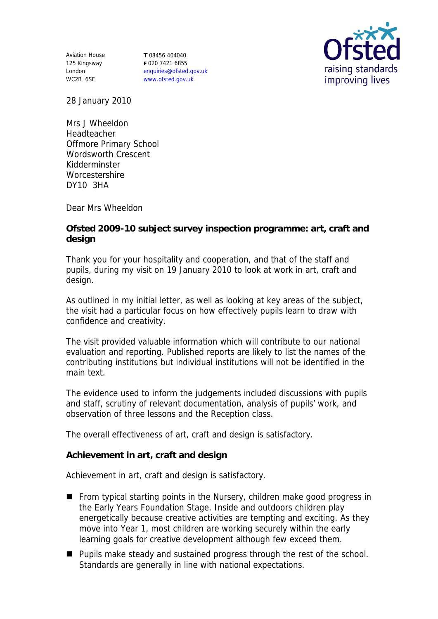Aviation House 125 Kingsway London WC2B 6SE

**T** 08456 404040 **F** 020 7421 6855 enquiries@ofsted.gov.uk www.ofsted.gov.uk



28 January 2010

Mrs J Wheeldon Headteacher Offmore Primary School Wordsworth Crescent Kidderminster **Worcestershire** DY10 3HA

Dear Mrs Wheeldon

**Ofsted 2009-10 subject survey inspection programme: art, craft and design**

Thank you for your hospitality and cooperation, and that of the staff and pupils, during my visit on 19 January 2010 to look at work in art, craft and design.

As outlined in my initial letter, as well as looking at key areas of the subject, the visit had a particular focus on how effectively pupils learn to draw with confidence and creativity.

The visit provided valuable information which will contribute to our national evaluation and reporting. Published reports are likely to list the names of the contributing institutions but individual institutions will not be identified in the main text.

The evidence used to inform the judgements included discussions with pupils and staff, scrutiny of relevant documentation, analysis of pupils' work, and observation of three lessons and the Reception class.

The overall effectiveness of art, craft and design is satisfactory.

**Achievement in art, craft and design** 

Achievement in art, craft and design is satisfactory.

- **From typical starting points in the Nursery, children make good progress in** the Early Years Foundation Stage. Inside and outdoors children play energetically because creative activities are tempting and exciting. As they move into Year 1, most children are working securely within the early learning goals for creative development although few exceed them.
- Pupils make steady and sustained progress through the rest of the school. Standards are generally in line with national expectations.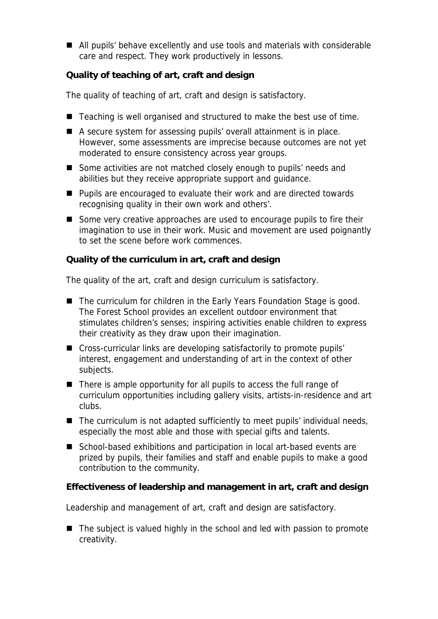■ All pupils' behave excellently and use tools and materials with considerable care and respect. They work productively in lessons.

**Quality of teaching of art, craft and design**

The quality of teaching of art, craft and design is satisfactory.

- Teaching is well organised and structured to make the best use of time.
- A secure system for assessing pupils' overall attainment is in place. However, some assessments are imprecise because outcomes are not yet moderated to ensure consistency across year groups.
- Some activities are not matched closely enough to pupils' needs and abilities but they receive appropriate support and guidance.
- **Pupils are encouraged to evaluate their work and are directed towards** recognising quality in their own work and others'.
- Some very creative approaches are used to encourage pupils to fire their imagination to use in their work. Music and movement are used poignantly to set the scene before work commences.

**Quality of the curriculum in art, craft and design**

The quality of the art, craft and design curriculum is satisfactory.

- The curriculum for children in the Early Years Foundation Stage is good. The Forest School provides an excellent outdoor environment that stimulates children's senses; inspiring activities enable children to express their creativity as they draw upon their imagination.
- Cross-curricular links are developing satisfactorily to promote pupils' interest, engagement and understanding of art in the context of other subjects.
- $\blacksquare$  There is ample opportunity for all pupils to access the full range of curriculum opportunities including gallery visits, artists-in-residence and art clubs.
- The curriculum is not adapted sufficiently to meet pupils' individual needs, especially the most able and those with special gifts and talents.
- School-based exhibitions and participation in local art-based events are prized by pupils, their families and staff and enable pupils to make a good contribution to the community.

**Effectiveness of leadership and management in art, craft and design**

Leadership and management of art, craft and design are satisfactory.

■ The subject is valued highly in the school and led with passion to promote creativity.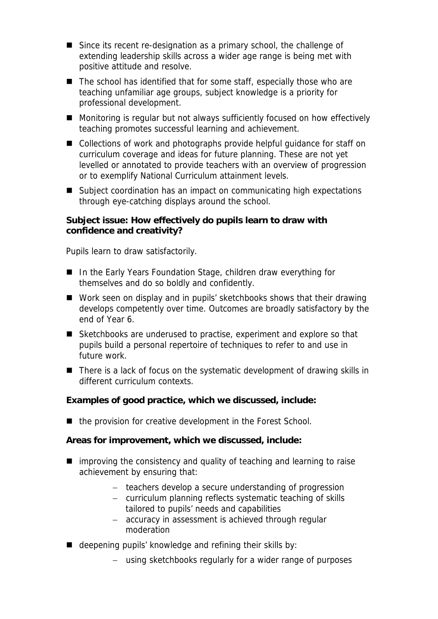- Since its recent re-designation as a primary school, the challenge of extending leadership skills across a wider age range is being met with positive attitude and resolve.
- The school has identified that for some staff, especially those who are teaching unfamiliar age groups, subject knowledge is a priority for professional development.
- Monitoring is regular but not always sufficiently focused on how effectively teaching promotes successful learning and achievement.
- Collections of work and photographs provide helpful guidance for staff on curriculum coverage and ideas for future planning. These are not yet levelled or annotated to provide teachers with an overview of progression or to exemplify National Curriculum attainment levels.
- Subject coordination has an impact on communicating high expectations through eye-catching displays around the school.

**Subject issue: How effectively do pupils learn to draw with confidence and creativity?**

Pupils learn to draw satisfactorily.

- In the Early Years Foundation Stage, children draw everything for themselves and do so boldly and confidently.
- Work seen on display and in pupils' sketchbooks shows that their drawing develops competently over time. Outcomes are broadly satisfactory by the end of Year 6.
- Sketchbooks are underused to practise, experiment and explore so that pupils build a personal repertoire of techniques to refer to and use in future work.
- There is a lack of focus on the systematic development of drawing skills in different curriculum contexts.

**Examples of good practice, which we discussed, include:**

■ the provision for creative development in the Forest School.

**Areas for improvement, which we discussed, include:**

- $\blacksquare$  improving the consistency and quality of teaching and learning to raise achievement by ensuring that:
	- teachers develop a secure understanding of progression
	- curriculum planning reflects systematic teaching of skills tailored to pupils' needs and capabilities
	- accuracy in assessment is achieved through regular moderation
- deepening pupils' knowledge and refining their skills by:
	- using sketchbooks regularly for a wider range of purposes